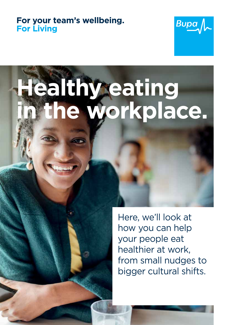#### For your team's wellbeing.<br>For Living **For Living**



# **Healthy eating in the workplace.**

Here, we'll look at how you can help your people eat healthier at work, from small nudges to bigger cultural shifts.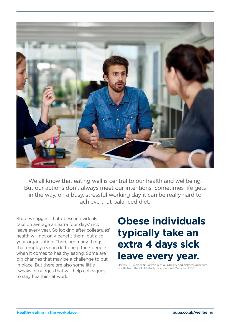

We all know that eating well is central to our health and wellbeing. But our actions don't always meet our intentions. Sometimes life gets in the way, on a busy, stressful working day it can be really hard to achieve that balanced diet.

Studies suggest that obese individuals take on average an extra four days' sick leave every year. So looking after colleagues' health will not only benefit them, but also your organisation. There are many things that employers can do to help their people when it comes to healthy eating. Some are big changes that may be a challenge to put in place. But there are also some little tweaks or nudges that will help colleagues to stay healthier at work.

### **Obese individuals typically take an extra 4 days sick leave every year.**

Harvey SB, Glozier N, Carlton O et al. Obesity and sickness absence: results from the CHAP study. Occupational Medicine, 2010.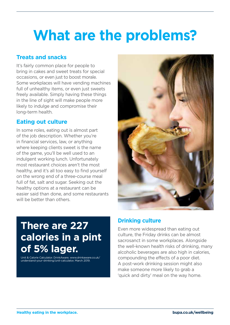## **What are the problems?**

#### **Treats and snacks**

It's fairly common place for people to bring in cakes and sweet treats for special occasions, or even just to boost morale. Some workplaces will have vending machines full of unhealthy items, or even just sweets freely available. Simply having these things in the line of sight will make people more likely to indulge and compromise their long-term health.

#### **Eating out culture**

In some roles, eating out is almost part of the job description. Whether you're in financial services, law, or anything where keeping clients sweet is the name of the game, you'll be well used to an indulgent working lunch. Unfortunately most restaurant choices aren't the most healthy, and it's all too easy to find yourself on the wrong end of a three-course meal full of fat, salt and sugar. Seeking out the healthy options at a restaurant can be easier said than done, and some restaurants will be better than others.

### **There are 227 calories in a pint of 5% lager.**

Unit & Calorie Calculator. DrinkAware. www.drinkaware.co.uk/ understand-your-drinking/unit-calculator, March 2019.



#### **Drinking culture**

Even more widespread than eating out culture, the Friday drinks can be almost sacrosanct in some workplaces. Alongside the well-known health risks of drinking, many alcoholic beverages are also high in calories, compounding the effects of a poor diet. A post-work drinking session might also make someone more likely to grab a 'quick and dirty' meal on the way home.